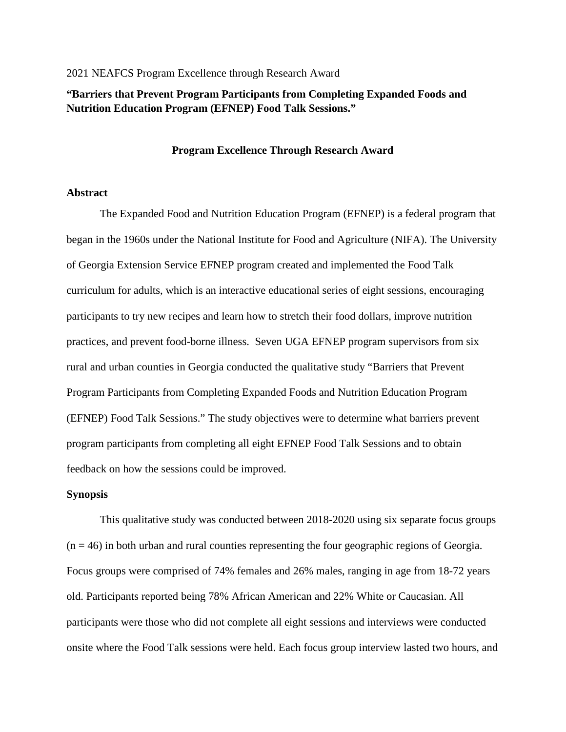# 2021 NEAFCS Program Excellence through Research Award

# **"Barriers that Prevent Program Participants from Completing Expanded Foods and Nutrition Education Program (EFNEP) Food Talk Sessions."**

# **Program Excellence Through Research Award**

# **Abstract**

The Expanded Food and Nutrition Education Program (EFNEP) is a federal program that began in the 1960s under the National Institute for Food and Agriculture (NIFA). The University of Georgia Extension Service EFNEP program created and implemented the Food Talk curriculum for adults, which is an interactive educational series of eight sessions, encouraging participants to try new recipes and learn how to stretch their food dollars, improve nutrition practices, and prevent food-borne illness. Seven UGA EFNEP program supervisors from six rural and urban counties in Georgia conducted the qualitative study "Barriers that Prevent Program Participants from Completing Expanded Foods and Nutrition Education Program (EFNEP) Food Talk Sessions." The study objectives were to determine what barriers prevent program participants from completing all eight EFNEP Food Talk Sessions and to obtain feedback on how the sessions could be improved.

# **Synopsis**

This qualitative study was conducted between 2018-2020 using six separate focus groups  $(n = 46)$  in both urban and rural counties representing the four geographic regions of Georgia. Focus groups were comprised of 74% females and 26% males, ranging in age from 18-72 years old. Participants reported being 78% African American and 22% White or Caucasian. All participants were those who did not complete all eight sessions and interviews were conducted onsite where the Food Talk sessions were held. Each focus group interview lasted two hours, and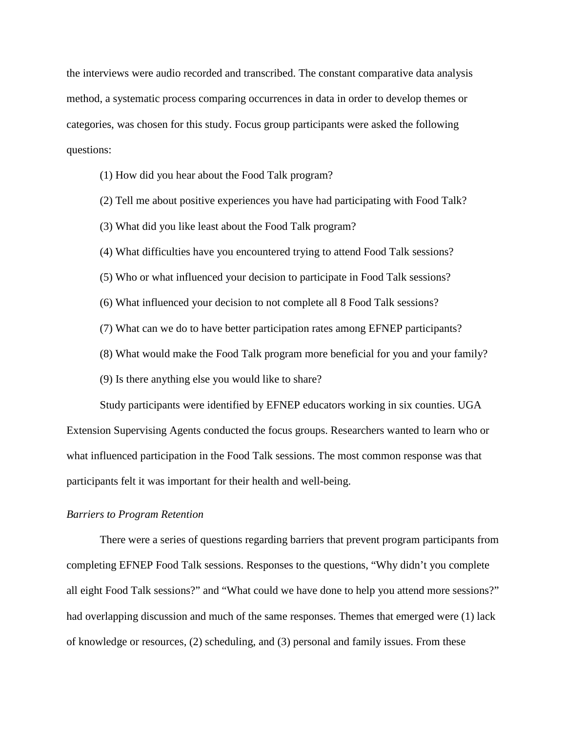the interviews were audio recorded and transcribed. The constant comparative data analysis method, a systematic process comparing occurrences in data in order to develop themes or categories, was chosen for this study. Focus group participants were asked the following questions:

- (1) How did you hear about the Food Talk program?
- (2) Tell me about positive experiences you have had participating with Food Talk?
- (3) What did you like least about the Food Talk program?
- (4) What difficulties have you encountered trying to attend Food Talk sessions?
- (5) Who or what influenced your decision to participate in Food Talk sessions?
- (6) What influenced your decision to not complete all 8 Food Talk sessions?
- (7) What can we do to have better participation rates among EFNEP participants?
- (8) What would make the Food Talk program more beneficial for you and your family?
- (9) Is there anything else you would like to share?

Study participants were identified by EFNEP educators working in six counties. UGA Extension Supervising Agents conducted the focus groups. Researchers wanted to learn who or what influenced participation in the Food Talk sessions. The most common response was that participants felt it was important for their health and well-being.

# *Barriers to Program Retention*

There were a series of questions regarding barriers that prevent program participants from completing EFNEP Food Talk sessions. Responses to the questions, "Why didn't you complete all eight Food Talk sessions?" and "What could we have done to help you attend more sessions?" had overlapping discussion and much of the same responses. Themes that emerged were (1) lack of knowledge or resources, (2) scheduling, and (3) personal and family issues. From these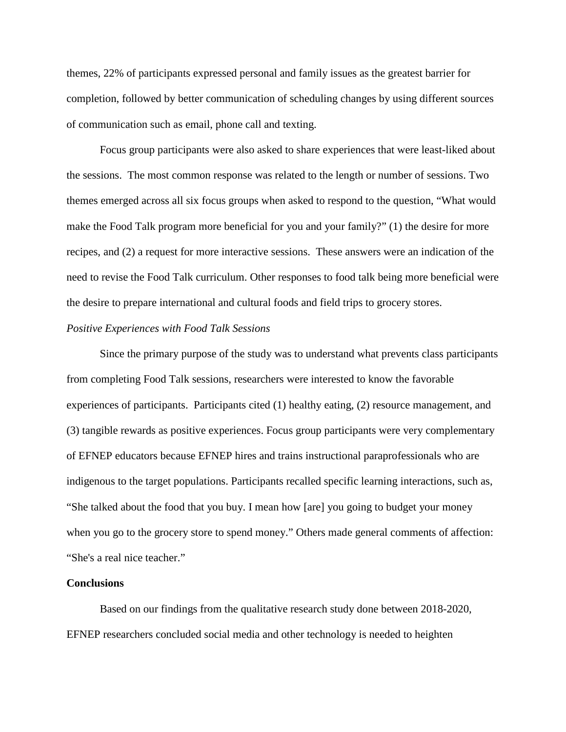themes, 22% of participants expressed personal and family issues as the greatest barrier for completion, followed by better communication of scheduling changes by using different sources of communication such as email, phone call and texting.

Focus group participants were also asked to share experiences that were least-liked about the sessions. The most common response was related to the length or number of sessions. Two themes emerged across all six focus groups when asked to respond to the question, "What would make the Food Talk program more beneficial for you and your family?" (1) the desire for more recipes, and (2) a request for more interactive sessions. These answers were an indication of the need to revise the Food Talk curriculum. Other responses to food talk being more beneficial were the desire to prepare international and cultural foods and field trips to grocery stores.

# *Positive Experiences with Food Talk Sessions*

Since the primary purpose of the study was to understand what prevents class participants from completing Food Talk sessions, researchers were interested to know the favorable experiences of participants. Participants cited (1) healthy eating, (2) resource management, and (3) tangible rewards as positive experiences. Focus group participants were very complementary of EFNEP educators because EFNEP hires and trains instructional paraprofessionals who are indigenous to the target populations. Participants recalled specific learning interactions, such as, "She talked about the food that you buy. I mean how [are] you going to budget your money when you go to the grocery store to spend money." Others made general comments of affection: "She's a real nice teacher."

# **Conclusions**

Based on our findings from the qualitative research study done between 2018-2020, EFNEP researchers concluded social media and other technology is needed to heighten